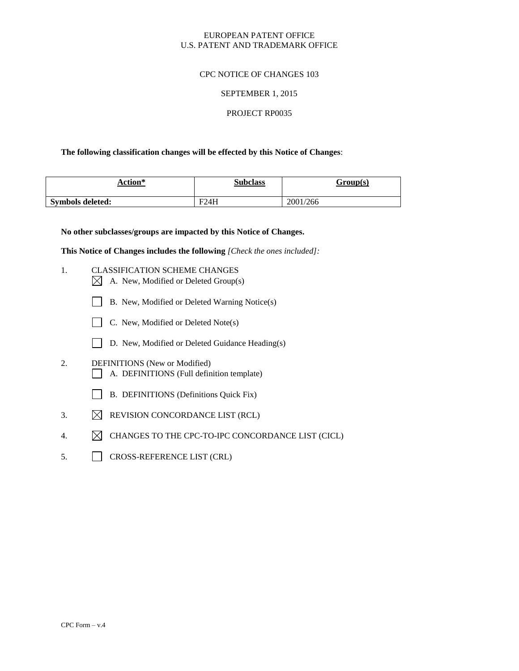## EUROPEAN PATENT OFFICE U.S. PATENT AND TRADEMARK OFFICE

## CPC NOTICE OF CHANGES 103

### SEPTEMBER 1, 2015

## PROJECT RP0035

## **The following classification changes will be effected by this Notice of Changes**:

| Action*          | <b>Subclass</b> | Group(s) |
|------------------|-----------------|----------|
| Symbols deleted: | F24H            | 2001/266 |

**No other subclasses/groups are impacted by this Notice of Changes.**

**This Notice of Changes includes the following** *[Check the ones included]:*

- 1. CLASSIFICATION SCHEME CHANGES
	- $\boxtimes$  A. New, Modified or Deleted Group(s)
	- B. New, Modified or Deleted Warning Notice(s)
	- C. New, Modified or Deleted Note(s)
	- D. New, Modified or Deleted Guidance Heading(s)
- 2. DEFINITIONS (New or Modified) A. DEFINITIONS (Full definition template)
	- B. DEFINITIONS (Definitions Quick Fix)
- 3.  $\boxtimes$  REVISION CONCORDANCE LIST (RCL)
- 4.  $\boxtimes$  CHANGES TO THE CPC-TO-IPC CONCORDANCE LIST (CICL)
- 5. CROSS-REFERENCE LIST (CRL)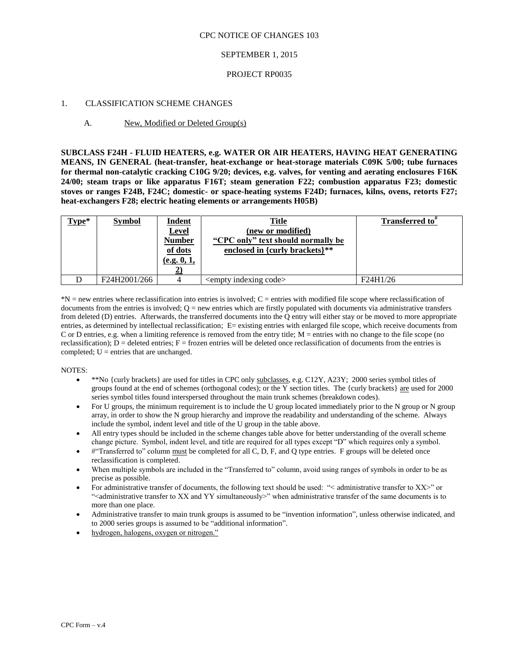### CPC NOTICE OF CHANGES 103

### SEPTEMBER 1, 2015

#### PROJECT RP0035

### 1. CLASSIFICATION SCHEME CHANGES

#### A. New, Modified or Deleted Group(s)

**SUBCLASS F24H - FLUID HEATERS, e.g. WATER OR AIR HEATERS, HAVING HEAT GENERATING MEANS, IN GENERAL (heat-transfer, heat-exchange or heat-storage materials C09K 5/00; tube furnaces for thermal non-catalytic cracking C10G 9/20; devices, e.g. valves, for venting and aerating enclosures F16K 24/00; steam traps or like apparatus F16T; steam generation F22; combustion apparatus F23; domestic stoves or ranges F24B, F24C; domestic- or space-heating systems F24D; furnaces, kilns, ovens, retorts F27; heat-exchangers F28; electric heating elements or arrangements H05B)**

| Type* | <b>Symbol</b> | <u>Indent</u><br><b>Level</b><br><b>Number</b><br>of dots<br>(e.g. 0, 1, | <b>Title</b><br>(new or modified)<br>"CPC only" text should normally be<br>enclosed in {curly brackets}** | <b>Transferred to</b> " |
|-------|---------------|--------------------------------------------------------------------------|-----------------------------------------------------------------------------------------------------------|-------------------------|
|       | F24H2001/266  |                                                                          | <empty code="" indexing=""></empty>                                                                       | F24H1/26                |

\*N = new entries where reclassification into entries is involved; C = entries with modified file scope where reclassification of documents from the entries is involved;  $Q =$  new entries which are firstly populated with documents via administrative transfers from deleted (D) entries. Afterwards, the transferred documents into the Q entry will either stay or be moved to more appropriate entries, as determined by intellectual reclassification; E= existing entries with enlarged file scope, which receive documents from C or D entries, e.g. when a limiting reference is removed from the entry title;  $M =$  entries with no change to the file scope (no reclassification);  $D =$  deleted entries;  $F =$  frozen entries will be deleted once reclassification of documents from the entries is completed;  $U =$  entries that are unchanged.

#### NOTES:

- \*\*No {curly brackets} are used for titles in CPC only subclasses, e.g. C12Y, A23Y; 2000 series symbol titles of groups found at the end of schemes (orthogonal codes); or the Y section titles. The {curly brackets} are used for 2000 series symbol titles found interspersed throughout the main trunk schemes (breakdown codes).
- For U groups, the minimum requirement is to include the U group located immediately prior to the N group or N group array, in order to show the N group hierarchy and improve the readability and understanding of the scheme. Always include the symbol, indent level and title of the U group in the table above.
- All entry types should be included in the scheme changes table above for better understanding of the overall scheme change picture. Symbol, indent level, and title are required for all types except "D" which requires only a symbol.
- #"Transferred to" column must be completed for all C, D, F, and Q type entries. F groups will be deleted once reclassification is completed.
- When multiple symbols are included in the "Transferred to" column, avoid using ranges of symbols in order to be as precise as possible.
- For administrative transfer of documents, the following text should be used: " < administrative transfer to XX >" or "<administrative transfer to XX and YY simultaneously>" when administrative transfer of the same documents is to more than one place.
- Administrative transfer to main trunk groups is assumed to be "invention information", unless otherwise indicated, and to 2000 series groups is assumed to be "additional information".
- hydrogen, halogens, oxygen or nitrogen."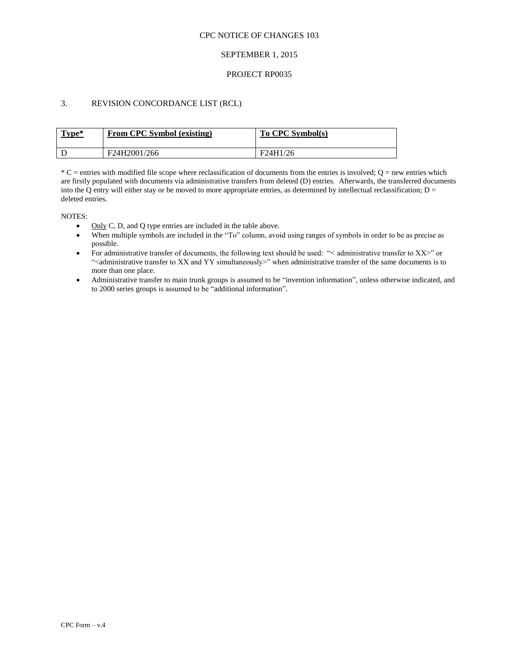### CPC NOTICE OF CHANGES 103

## SEPTEMBER 1, 2015

### PROJECT RP0035

## 3. REVISION CONCORDANCE LIST (RCL)

| Type* | From CPC Symbol (existing) | To CPC Symbol(s) |
|-------|----------------------------|------------------|
|       | F24H2001/266               | F24H1/26         |

 $*C$  = entries with modified file scope where reclassification of documents from the entries is involved;  $Q$  = new entries which are firstly populated with documents via administrative transfers from deleted (D) entries. Afterwards, the transferred documents into the Q entry will either stay or be moved to more appropriate entries, as determined by intellectual reclassification;  $D =$ deleted entries.

NOTES:

- Only C, D, and O type entries are included in the table above.
- When multiple symbols are included in the "To" column, avoid using ranges of symbols in order to be as precise as possible.
- For administrative transfer of documents, the following text should be used: "< administrative transfer to XX>" or "<administrative transfer to XX and YY simultaneously>" when administrative transfer of the same documents is to more than one place.
- Administrative transfer to main trunk groups is assumed to be "invention information", unless otherwise indicated, and to 2000 series groups is assumed to be "additional information".